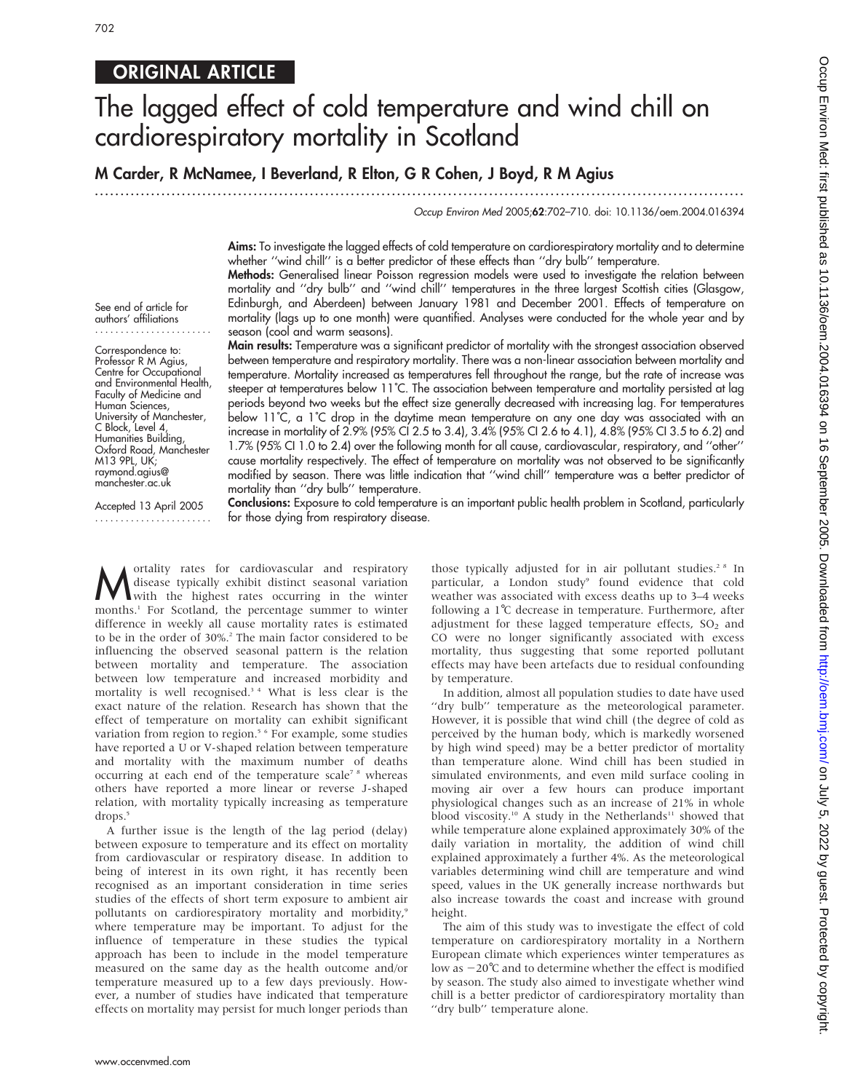# ORIGINAL ARTICLE

# The lagged effect of cold temperature and wind chill on cardiorespiratory mortality in Scotland

M Carder, R McNamee, I Beverland, R Elton, G R Cohen, J Boyd, R M Agius

...............................................................................................................................

Occup Environ Med 2005;62:702–710. doi: 10.1136/oem.2004.016394

Aims: To investigate the lagged effects of cold temperature on cardiorespiratory mortality and to determine whether ''wind chill'' is a better predictor of these effects than ''dry bulb'' temperature.

Methods: Generalised linear Poisson regression models were used to investigate the relation between mortality and ''dry bulb'' and ''wind chill'' temperatures in the three largest Scottish cities (Glasgow, Edinburgh, and Aberdeen) between January 1981 and December 2001. Effects of temperature on mortality (lags up to one month) were quantified. Analyses were conducted for the whole year and by season (cool and warm seasons).

Main results: Temperature was a significant predictor of mortality with the strongest association observed between temperature and respiratory mortality. There was a non-linear association between mortality and temperature. Mortality increased as temperatures fell throughout the range, but the rate of increase was steeper at temperatures below 11˚C. The association between temperature and mortality persisted at lag periods beyond two weeks but the effect size generally decreased with increasing lag. For temperatures below 11°C, a 1°C drop in the daytime mean temperature on any one day was associated with an increase in mortality of 2.9% (95% CI 2.5 to 3.4), 3.4% (95% CI 2.6 to 4.1), 4.8% (95% CI 3.5 to 6.2) and 1.7% (95% CI 1.0 to 2.4) over the following month for all cause, cardiovascular, respiratory, and ''other'' cause mortality respectively. The effect of temperature on mortality was not observed to be significantly modified by season. There was little indication that ''wind chill'' temperature was a better predictor of mortality than ''dry bulb'' temperature.

Accepted 13 April 2005 .......................

M13 9PL, UK; raymond.agius@ manchester.ac.uk

See end of article for authors' affiliations ....................... Correspondence to: Professor R M Agius, Centre for Occupational and Environmental Health, Faculty of Medicine and Human Sciences, University of Manchester, C Block, Level 4, Humanities Building, Oxford Road, Manchester

> Conclusions: Exposure to cold temperature is an important public health problem in Scotland, particularly for those dying from respiratory disease.

Mortality rates for cardiovascular and respiratory<br>with the highest rates occurring in the winter<br>months<sup>1</sup> For Scotland the perceptage summer to winter disease typically exhibit distinct seasonal variation with the highest rates occurring in the winter months.1 For Scotland, the percentage summer to winter difference in weekly all cause mortality rates is estimated to be in the order of 30%.<sup>2</sup> The main factor considered to be influencing the observed seasonal pattern is the relation between mortality and temperature. The association between low temperature and increased morbidity and mortality is well recognised.<sup>34</sup> What is less clear is the exact nature of the relation. Research has shown that the effect of temperature on mortality can exhibit significant variation from region to region.<sup>5</sup> <sup>6</sup> For example, some studies have reported a U or V-shaped relation between temperature and mortality with the maximum number of deaths occurring at each end of the temperature scale<sup>7</sup><sup>8</sup> whereas others have reported a more linear or reverse J-shaped relation, with mortality typically increasing as temperature drops.<sup>5</sup>

A further issue is the length of the lag period (delay) between exposure to temperature and its effect on mortality from cardiovascular or respiratory disease. In addition to being of interest in its own right, it has recently been recognised as an important consideration in time series studies of the effects of short term exposure to ambient air pollutants on cardiorespiratory mortality and morbidity,<sup>9</sup> where temperature may be important. To adjust for the influence of temperature in these studies the typical approach has been to include in the model temperature measured on the same day as the health outcome and/or temperature measured up to a few days previously. However, a number of studies have indicated that temperature effects on mortality may persist for much longer periods than those typically adjusted for in air pollutant studies.<sup>2 8</sup> In particular, a London study<sup>9</sup> found evidence that cold weather was associated with excess deaths up to 3–4 weeks following a 1℃ decrease in temperature. Furthermore, after adjustment for these lagged temperature effects,  $SO<sub>2</sub>$  and CO were no longer significantly associated with excess mortality, thus suggesting that some reported pollutant effects may have been artefacts due to residual confounding by temperature.

In addition, almost all population studies to date have used "dry bulb" temperature as the meteorological parameter. However, it is possible that wind chill (the degree of cold as perceived by the human body, which is markedly worsened by high wind speed) may be a better predictor of mortality than temperature alone. Wind chill has been studied in simulated environments, and even mild surface cooling in moving air over a few hours can produce important physiological changes such as an increase of 21% in whole blood viscosity.<sup>10</sup> A study in the Netherlands<sup>11</sup> showed that while temperature alone explained approximately 30% of the daily variation in mortality, the addition of wind chill explained approximately a further 4%. As the meteorological variables determining wind chill are temperature and wind speed, values in the UK generally increase northwards but also increase towards the coast and increase with ground height.

The aim of this study was to investigate the effect of cold temperature on cardiorespiratory mortality in a Northern European climate which experiences winter temperatures as low as  $-20^{\circ}$ C and to determine whether the effect is modified by season. The study also aimed to investigate whether wind chill is a better predictor of cardiorespiratory mortality than "dry bulb" temperature alone.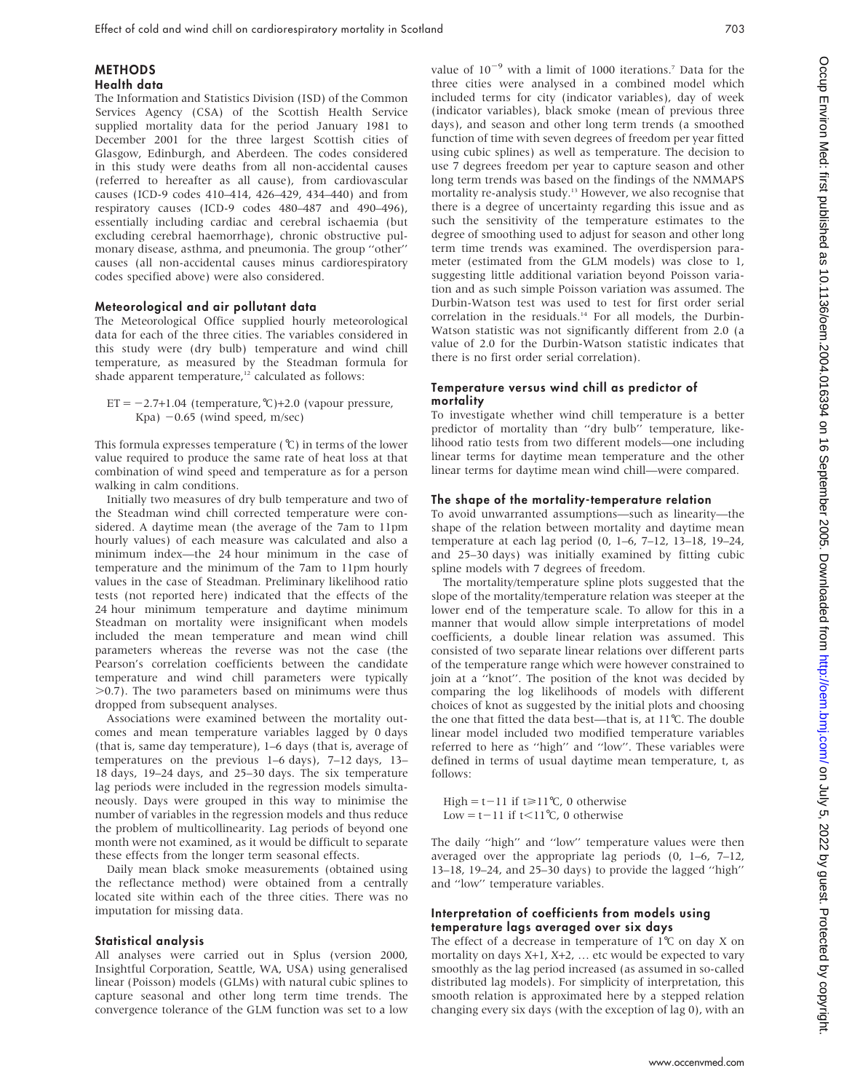#### **METHODS** Health data

The Information and Statistics Division (ISD) of the Common Services Agency (CSA) of the Scottish Health Service supplied mortality data for the period January 1981 to December 2001 for the three largest Scottish cities of Glasgow, Edinburgh, and Aberdeen. The codes considered in this study were deaths from all non-accidental causes (referred to hereafter as all cause), from cardiovascular causes (ICD-9 codes 410–414, 426–429, 434–440) and from respiratory causes (ICD-9 codes 480–487 and 490–496), essentially including cardiac and cerebral ischaemia (but excluding cerebral haemorrhage), chronic obstructive pulmonary disease, asthma, and pneumonia. The group ''other'' causes (all non-accidental causes minus cardiorespiratory codes specified above) were also considered.

#### Meteorological and air pollutant data

The Meteorological Office supplied hourly meteorological data for each of the three cities. The variables considered in this study were (dry bulb) temperature and wind chill temperature, as measured by the Steadman formula for shade apparent temperature,<sup>12</sup> calculated as follows:

ET =  $-2.7+1.04$  (temperature, °C)+2.0 (vapour pressure, Kpa)  $-0.65$  (wind speed, m/sec)

This formula expresses temperature ( $\degree$ C) in terms of the lower value required to produce the same rate of heat loss at that combination of wind speed and temperature as for a person walking in calm conditions.

Initially two measures of dry bulb temperature and two of the Steadman wind chill corrected temperature were considered. A daytime mean (the average of the 7am to 11pm hourly values) of each measure was calculated and also a minimum index—the 24 hour minimum in the case of temperature and the minimum of the 7am to 11pm hourly values in the case of Steadman. Preliminary likelihood ratio tests (not reported here) indicated that the effects of the 24 hour minimum temperature and daytime minimum Steadman on mortality were insignificant when models included the mean temperature and mean wind chill parameters whereas the reverse was not the case (the Pearson's correlation coefficients between the candidate temperature and wind chill parameters were typically  $>0.7$ ). The two parameters based on minimums were thus dropped from subsequent analyses.

Associations were examined between the mortality outcomes and mean temperature variables lagged by 0 days (that is, same day temperature), 1–6 days (that is, average of temperatures on the previous 1–6 days), 7–12 days, 13– 18 days, 19–24 days, and 25–30 days. The six temperature lag periods were included in the regression models simultaneously. Days were grouped in this way to minimise the number of variables in the regression models and thus reduce the problem of multicollinearity. Lag periods of beyond one month were not examined, as it would be difficult to separate these effects from the longer term seasonal effects.

Daily mean black smoke measurements (obtained using the reflectance method) were obtained from a centrally located site within each of the three cities. There was no imputation for missing data.

#### Statistical analysis

All analyses were carried out in Splus (version 2000, Insightful Corporation, Seattle, WA, USA) using generalised linear (Poisson) models (GLMs) with natural cubic splines to capture seasonal and other long term time trends. The convergence tolerance of the GLM function was set to a low

value of  $10^{-9}$  with a limit of 1000 iterations.<sup>7</sup> Data for the three cities were analysed in a combined model which included terms for city (indicator variables), day of week (indicator variables), black smoke (mean of previous three days), and season and other long term trends (a smoothed function of time with seven degrees of freedom per year fitted using cubic splines) as well as temperature. The decision to use 7 degrees freedom per year to capture season and other long term trends was based on the findings of the NMMAPS mortality re-analysis study.<sup>13</sup> However, we also recognise that there is a degree of uncertainty regarding this issue and as such the sensitivity of the temperature estimates to the degree of smoothing used to adjust for season and other long term time trends was examined. The overdispersion parameter (estimated from the GLM models) was close to 1, suggesting little additional variation beyond Poisson variation and as such simple Poisson variation was assumed. The Durbin-Watson test was used to test for first order serial correlation in the residuals.<sup>14</sup> For all models, the Durbin-Watson statistic was not significantly different from 2.0 (a value of 2.0 for the Durbin-Watson statistic indicates that there is no first order serial correlation).

#### Temperature versus wind chill as predictor of mortality

To investigate whether wind chill temperature is a better predictor of mortality than ''dry bulb'' temperature, likelihood ratio tests from two different models—one including linear terms for daytime mean temperature and the other linear terms for daytime mean wind chill—were compared.

#### The shape of the mortality-temperature relation

To avoid unwarranted assumptions—such as linearity—the shape of the relation between mortality and daytime mean temperature at each lag period (0, 1–6, 7–12, 13–18, 19–24, and 25–30 days) was initially examined by fitting cubic spline models with 7 degrees of freedom.

The mortality/temperature spline plots suggested that the slope of the mortality/temperature relation was steeper at the lower end of the temperature scale. To allow for this in a manner that would allow simple interpretations of model coefficients, a double linear relation was assumed. This consisted of two separate linear relations over different parts of the temperature range which were however constrained to join at a ''knot''. The position of the knot was decided by comparing the log likelihoods of models with different choices of knot as suggested by the initial plots and choosing the one that fitted the data best—that is, at 11℃. The double linear model included two modified temperature variables referred to here as ''high'' and ''low''. These variables were defined in terms of usual daytime mean temperature, t, as follows:

High =  $t-11$  if  $t \ge 11^{\circ}C$ , 0 otherwise Low =  $t-11$  if  $t<11^{\circ}C$ , 0 otherwise

The daily ''high'' and ''low'' temperature values were then averaged over the appropriate lag periods (0, 1–6, 7–12, 13–18, 19–24, and 25–30 days) to provide the lagged ''high'' and ''low'' temperature variables.

#### Interpretation of coefficients from models using temperature lags averaged over six days

The effect of a decrease in temperature of  $1^{\circ}$ C on day X on mortality on days X+1, X+2, ... etc would be expected to vary smoothly as the lag period increased (as assumed in so-called distributed lag models). For simplicity of interpretation, this smooth relation is approximated here by a stepped relation changing every six days (with the exception of lag 0), with an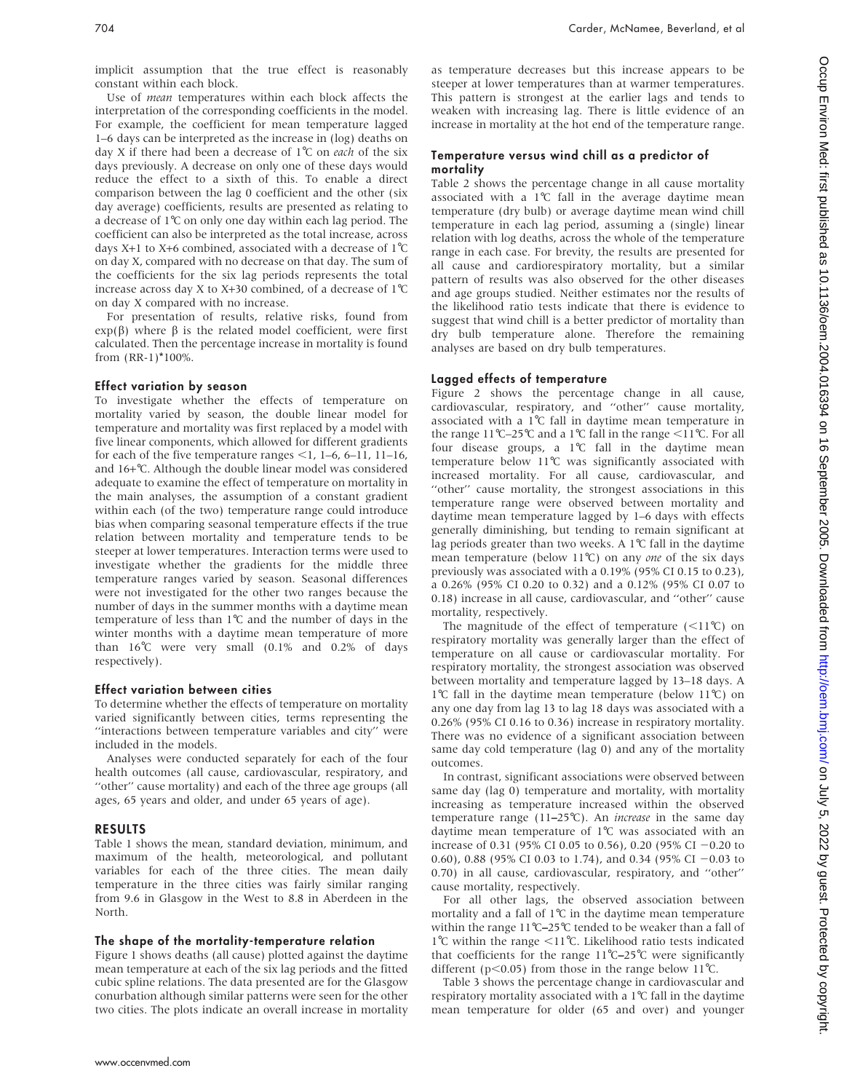implicit assumption that the true effect is reasonably constant within each block.

Use of mean temperatures within each block affects the interpretation of the corresponding coefficients in the model. For example, the coefficient for mean temperature lagged 1–6 days can be interpreted as the increase in (log) deaths on day X if there had been a decrease of  $1^{\circ}C$  on each of the six days previously. A decrease on only one of these days would reduce the effect to a sixth of this. To enable a direct comparison between the lag 0 coefficient and the other (six day average) coefficients, results are presented as relating to a decrease of 1˚C on only one day within each lag period. The coefficient can also be interpreted as the total increase, across days X+1 to X+6 combined, associated with a decrease of 1˚C on day X, compared with no decrease on that day. The sum of the coefficients for the six lag periods represents the total increase across day X to X+30 combined, of a decrease of 1˚C on day X compared with no increase.

For presentation of results, relative risks, found from  $exp(\beta)$  where  $\beta$  is the related model coefficient, were first calculated. Then the percentage increase in mortality is found from (RR-1)\*100%.

#### Effect variation by season

To investigate whether the effects of temperature on mortality varied by season, the double linear model for temperature and mortality was first replaced by a model with five linear components, which allowed for different gradients for each of the five temperature ranges  $\leq 1$ , 1–6, 6–11, 11–16, and 16+˚C. Although the double linear model was considered adequate to examine the effect of temperature on mortality in the main analyses, the assumption of a constant gradient within each (of the two) temperature range could introduce bias when comparing seasonal temperature effects if the true relation between mortality and temperature tends to be steeper at lower temperatures. Interaction terms were used to investigate whether the gradients for the middle three temperature ranges varied by season. Seasonal differences were not investigated for the other two ranges because the number of days in the summer months with a daytime mean temperature of less than  $1^{\circ}C$  and the number of days in the winter months with a daytime mean temperature of more than  $16^{\circ}$ C were very small  $(0.1\%$  and  $0.2\%$  of days respectively).

#### Effect variation between cities

To determine whether the effects of temperature on mortality varied significantly between cities, terms representing the ''interactions between temperature variables and city'' were included in the models.

Analyses were conducted separately for each of the four health outcomes (all cause, cardiovascular, respiratory, and ''other'' cause mortality) and each of the three age groups (all ages, 65 years and older, and under 65 years of age).

#### RESULTS

Table 1 shows the mean, standard deviation, minimum, and maximum of the health, meteorological, and pollutant variables for each of the three cities. The mean daily temperature in the three cities was fairly similar ranging from 9.6 in Glasgow in the West to 8.8 in Aberdeen in the North.

#### The shape of the mortality-temperature relation

Figure 1 shows deaths (all cause) plotted against the daytime mean temperature at each of the six lag periods and the fitted cubic spline relations. The data presented are for the Glasgow conurbation although similar patterns were seen for the other two cities. The plots indicate an overall increase in mortality

#### Temperature versus wind chill as a predictor of mortality

Table 2 shows the percentage change in all cause mortality associated with a  $1^{\circ}C$  fall in the average daytime mean temperature (dry bulb) or average daytime mean wind chill temperature in each lag period, assuming a (single) linear relation with log deaths, across the whole of the temperature range in each case. For brevity, the results are presented for all cause and cardiorespiratory mortality, but a similar pattern of results was also observed for the other diseases and age groups studied. Neither estimates nor the results of the likelihood ratio tests indicate that there is evidence to suggest that wind chill is a better predictor of mortality than dry bulb temperature alone. Therefore the remaining analyses are based on dry bulb temperatures.

#### Lagged effects of temperature

Figure 2 shows the percentage change in all cause, cardiovascular, respiratory, and ''other'' cause mortality, associated with a  $1^{\circ}C$  fall in daytime mean temperature in the range 11°C–25°C and a 1°C fall in the range  $\leq$ 11°C. For all four disease groups, a 1°C fall in the daytime mean temperature below 11°C was significantly associated with increased mortality. For all cause, cardiovascular, and "other" cause mortality, the strongest associations in this temperature range were observed between mortality and daytime mean temperature lagged by 1–6 days with effects generally diminishing, but tending to remain significant at lag periods greater than two weeks. A  $1^{\circ}$ C fall in the daytime mean temperature (below  $11^{\circ}$ C) on any one of the six days previously was associated with a 0.19% (95% CI 0.15 to 0.23), a 0.26% (95% CI 0.20 to 0.32) and a 0.12% (95% CI 0.07 to 0.18) increase in all cause, cardiovascular, and ''other'' cause mortality, respectively.

The magnitude of the effect of temperature  $(<11^{\circ}C$ ) on respiratory mortality was generally larger than the effect of temperature on all cause or cardiovascular mortality. For respiratory mortality, the strongest association was observed between mortality and temperature lagged by 13–18 days. A 1°C fall in the daytime mean temperature (below  $11^{\circ}$ C) on any one day from lag 13 to lag 18 days was associated with a 0.26% (95% CI 0.16 to 0.36) increase in respiratory mortality. There was no evidence of a significant association between same day cold temperature (lag 0) and any of the mortality outcomes.

In contrast, significant associations were observed between same day (lag 0) temperature and mortality, with mortality increasing as temperature increased within the observed temperature range (11–25°C). An *increase* in the same day daytime mean temperature of  $1^{\circ}$ C was associated with an increase of 0.31 (95% CI 0.05 to 0.56), 0.20 (95% CI  $-0.20$  to 0.60), 0.88 (95% CI 0.03 to 1.74), and 0.34 (95% CI  $-0.03$  to 0.70) in all cause, cardiovascular, respiratory, and ''other'' cause mortality, respectively.

For all other lags, the observed association between mortality and a fall of  $1^\circ$ C in the daytime mean temperature within the range  $11^{\circ}$ C–25<sup>°</sup>C tended to be weaker than a fall of 1°C within the range <11°C. Likelihood ratio tests indicated that coefficients for the range 11°C-25°C were significantly different (p<0.05) from those in the range below 11°C.

Table 3 shows the percentage change in cardiovascular and respiratory mortality associated with a 1˚C fall in the daytime mean temperature for older (65 and over) and younger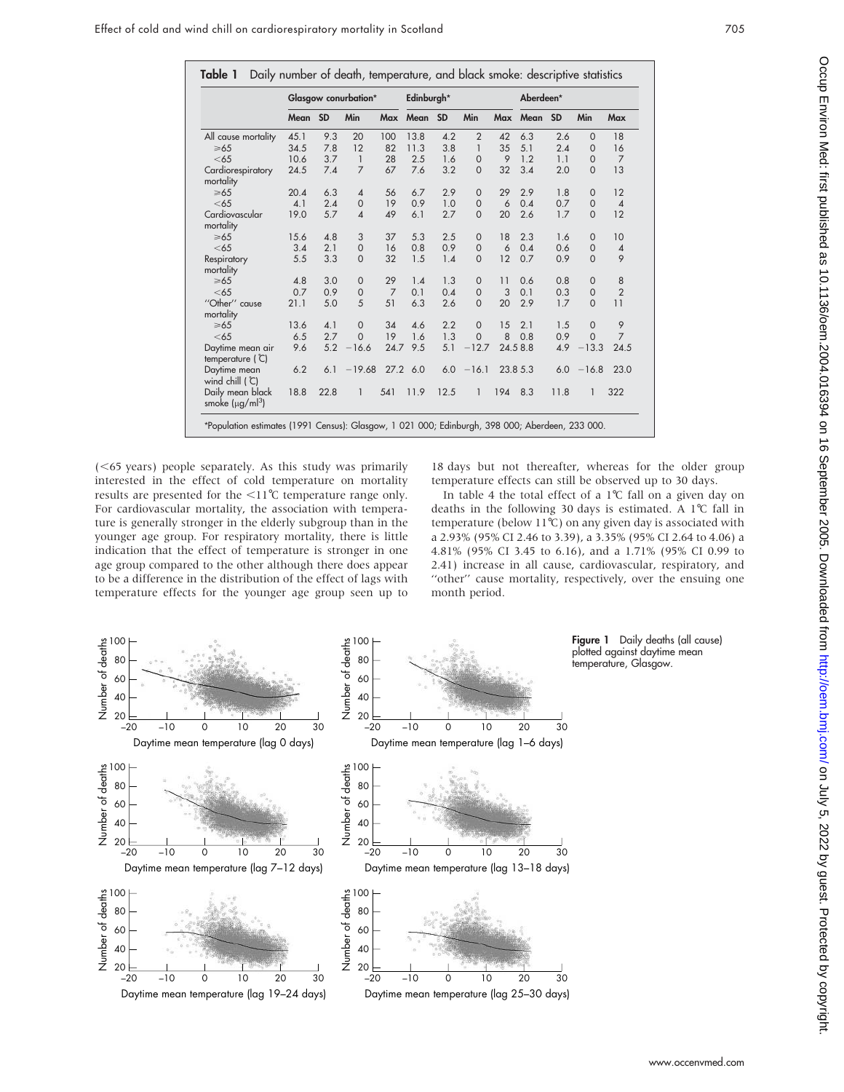|                                          | Glasgow conurbation* |      |                | Edinburgh*     |             |      |                | Aberdeen* |          |           |              |                |
|------------------------------------------|----------------------|------|----------------|----------------|-------------|------|----------------|-----------|----------|-----------|--------------|----------------|
|                                          | Mean SD              |      | Min            |                | Max Mean SD |      | Min            |           | Max Mean | <b>SD</b> | Min          | Max            |
| All cause mortality                      | 45.1                 | 9.3  | 20             | 100            | 13.8        | 4.2  | $\overline{2}$ | 42        | 6.3      | 2.6       | $\Omega$     | 18             |
| $\geq 65$                                | 34.5                 | 7.8  | 12             | 82             | 11.3        | 3.8  | 1              | 35        | 5.1      | 2.4       | $\mathbf 0$  | 16             |
| $<$ 65                                   | 10.6                 | 3.7  | $\mathbf{1}$   | 28             | 2.5         | 1.6  | $\mathbf{0}$   | 9         | 1.2      | 1.1       | $\mathbf{0}$ | $\overline{7}$ |
| Cardiorespiratory                        | 24.5                 | 7.4  | $\overline{7}$ | 67             | 7.6         | 3.2  | $\Omega$       | 32        | 3.4      | 2.0       | $\Omega$     | 13             |
| mortality                                |                      |      |                |                |             |      |                |           |          |           |              |                |
| $\geq 65$                                | 20.4                 | 6.3  | $\overline{4}$ | 56             | 6.7         | 2.9  | $\mathbf{0}$   | 29        | 2.9      | 1.8       | 0            | 12             |
| $<$ 65                                   | 4.1                  | 2.4  | $\Omega$       | 19             | 0.9         | 1.0  | $\mathbf{0}$   | 6         | 0.4      | 0.7       | $\Omega$     | $\overline{4}$ |
| Cardiovascular                           | 19.0                 | 5.7  | $\overline{4}$ | 49             | 6.1         | 2.7  | $\Omega$       | 20        | 2.6      | 1.7       | $\Omega$     | 12             |
| mortality                                |                      |      |                |                |             |      |                |           |          |           |              |                |
| $\geq 65$                                | 15.6                 | 4.8  | 3              | 37             | 5.3         | 2.5  | $\mathbf{0}$   | 18        | 2.3      | 1.6       | $\mathbf 0$  | 10             |
| $<$ 65                                   | 3.4                  | 2.1  | $\mathbf 0$    | 16             | 0.8         | 0.9  | $\mathbf{0}$   | 6         | 0.4      | 0.6       | $\mathbf{0}$ | $\overline{4}$ |
| Respiratory                              | 5.5                  | 3.3  | $\Omega$       | 32             | 1.5         | 1.4  | $\Omega$       | 12        | 0.7      | 0.9       | $\Omega$     | 9              |
| mortality                                |                      |      |                |                |             |      |                |           |          |           |              |                |
| $\geq 65$                                | 4.8                  | 3.0  | $\mathbf 0$    | 29             | 1.4         | 1.3  | $\mathbf{0}$   | 11        | 0.6      | 0.8       | $\mathbf 0$  | 8              |
| $<$ 65                                   | 0.7                  | 0.9  | $\mathbf 0$    | $\overline{7}$ | 0.1         | 0.4  | $\mathbf 0$    | 3         | 0.1      | 0.3       | $\mathbf 0$  | $\overline{2}$ |
| "Other" cause                            | 21.1                 | 5.0  | 5              | 51             | 6.3         | 2.6  | $\Omega$       | 20        | 2.9      | 1.7       | $\Omega$     | 11             |
| mortality                                |                      |      |                |                |             |      |                |           |          |           |              |                |
| $\geq 65$                                | 13.6                 | 4.1  | $\mathbf 0$    | 34             | 4.6         | 2.2  | $\mathbf 0$    | 15        | 2.1      | 1.5       | $\mathbf{0}$ | 9              |
| $<$ 65                                   | 6.5                  | 2.7  | $\Omega$       | 19             | 1.6         | 1.3  | $\Omega$       | 8         | 0.8      | 0.9       | $\Omega$     | $\overline{7}$ |
| Daytime mean air                         | 9.6                  | 5.2  | $-16.6$        | 24.7           | 9.5         | 5.1  | $-12.7$        |           | 24.58.8  | 4.9       | $-13.3$      | 24.5           |
| temperature ( C)                         |                      |      |                |                |             |      |                |           |          |           |              |                |
| Daytime mean                             | 6.2                  | 6.1  | $-19.68$       |                | 27.2 6.0    | 6.0  | $-16.1$        |           | 23.8 5.3 | 6.0       | $-16.8$      | 23.0           |
| wind chill $({\mathbb C})$               |                      |      |                |                |             |      |                |           |          |           |              |                |
| Daily mean black                         | 18.8                 | 22.8 | 1              | 541            | 11.9        | 12.5 | 1              | 194       | 8.3      | 11.8      | 1            | 322            |
| smoke ( $\mu$ g/m $\vert$ <sup>3</sup> ) |                      |      |                |                |             |      |                |           |          |           |              |                |

 $(<$  65 years) people separately. As this study was primarily interested in the effect of cold temperature on mortality results are presented for the  $\leq$ 11°C temperature range only. For cardiovascular mortality, the association with temperature is generally stronger in the elderly subgroup than in the younger age group. For respiratory mortality, there is little indication that the effect of temperature is stronger in one age group compared to the other although there does appear to be a difference in the distribution of the effect of lags with temperature effects for the younger age group seen up to

18 days but not thereafter, whereas for the older group temperature effects can still be observed up to 30 days.

In table 4 the total effect of a  $1^{\circ}$ C fall on a given day on deaths in the following 30 days is estimated. A 1˚C fall in temperature (below  $11^{\circ}$ C) on any given day is associated with a 2.93% (95% CI 2.46 to 3.39), a 3.35% (95% CI 2.64 to 4.06) a 4.81% (95% CI 3.45 to 6.16), and a 1.71% (95% CI 0.99 to 2.41) increase in all cause, cardiovascular, respiratory, and "other" cause mortality, respectively, over the ensuing one month period.

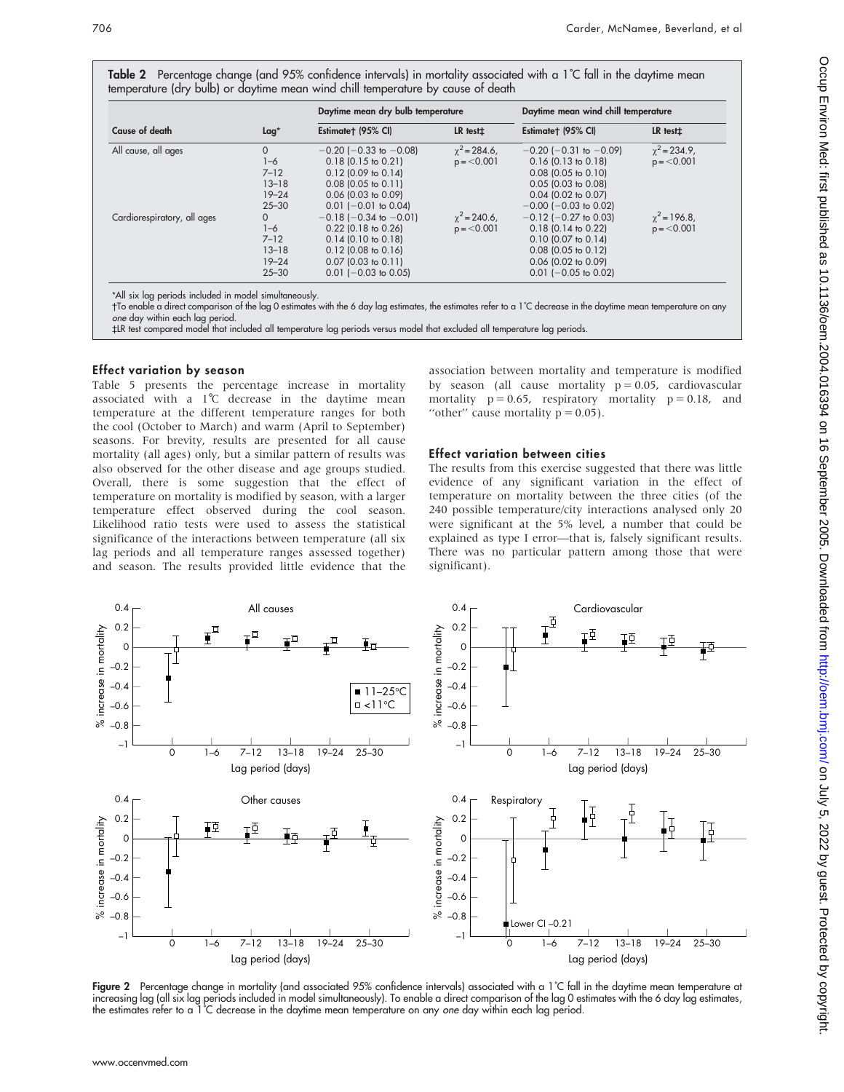Table 2 Percentage change (and 95% confidence intervals) in mortality associated with a 1°C fall in the daytime mean temperature (dry bulb) or daytime mean wind chill temperature by cause of death

|                             |                                                                 | Daytime mean dry bulb temperature                                                                                                                            |                                    | Daytime mean wind chill temperature                                                                                                                              |                                    |  |
|-----------------------------|-----------------------------------------------------------------|--------------------------------------------------------------------------------------------------------------------------------------------------------------|------------------------------------|------------------------------------------------------------------------------------------------------------------------------------------------------------------|------------------------------------|--|
| Cause of death              | $L$ ag <sup>*</sup>                                             | Estimatet (95% CI)                                                                                                                                           | LR test <sup>+</sup>               | Estimatet (95% CI)                                                                                                                                               | $LR$ test $\pm$                    |  |
| All cause, all ages         | 0<br>$1 - 6$<br>$7 - 12$<br>$13 - 18$<br>$19 - 24$<br>$25 - 30$ | $-0.20$ ( $-0.33$ to $-0.08$ )<br>$0.18$ (0.15 to 0.21)<br>$0.12$ (0.09 to 0.14)<br>$0.08$ (0.05 to 0.11)<br>$0.06$ (0.03 to 0.09)<br>$0.01$ (-0.01 to 0.04) | $\gamma^2$ = 284.6,<br>$p = 0.001$ | $-0.20$ ( $-0.31$ to $-0.09$ )<br>$0.16$ (0.13 to 0.18)<br>$0.08$ (0.05 to 0.10)<br>$0.05$ (0.03 to 0.08)<br>$0.04$ (0.02 to 0.07)<br>$-0.00$ ( $-0.03$ to 0.02) | $\gamma^2$ = 234.9,<br>$p = 0.001$ |  |
| Cardiorespiratory, all ages | 0<br>$1 - 6$<br>$7 - 12$<br>$13 - 18$<br>$19 - 24$<br>$25 - 30$ | $-0.18$ ( $-0.34$ to $-0.01$ )<br>$0.22$ (0.18 to 0.26)<br>$0.14$ (0.10 to 0.18)<br>$0.12$ (0.08 to 0.16)<br>$0.07$ (0.03 to 0.11)<br>$0.01$ (-0.03 to 0.05) | $\gamma^2$ = 240.6,<br>$p = 0.001$ | $-0.12$ ( $-0.27$ to 0.03)<br>$0.18$ (0.14 to 0.22)<br>$0.10$ (0.07 to 0.14)<br>$0.08$ (0.05 to 0.12)<br>$0.06$ (0.02 to 0.09)<br>$0.01$ (-0.05 to 0.02)         | $\gamma^2$ = 196.8,<br>$p = 0.001$ |  |

\*All six lag periods included in model simultaneously.

To enable a direct comparison of the lag 0 estimates with the 6 day lag estimates, the estimates refer to a 1˚C decrease in the daytime mean temperature on any one day within each lag period.

`LR test compared model that included all temperature lag periods versus model that excluded all temperature lag periods.

#### Effect variation by season

Table 5 presents the percentage increase in mortality associated with a 1˚C decrease in the daytime mean temperature at the different temperature ranges for both the cool (October to March) and warm (April to September) seasons. For brevity, results are presented for all cause mortality (all ages) only, but a similar pattern of results was also observed for the other disease and age groups studied. Overall, there is some suggestion that the effect of temperature on mortality is modified by season, with a larger temperature effect observed during the cool season. Likelihood ratio tests were used to assess the statistical significance of the interactions between temperature (all six lag periods and all temperature ranges assessed together) and season. The results provided little evidence that the

association between mortality and temperature is modified by season (all cause mortality  $p = 0.05$ , cardiovascular mortality  $p = 0.65$ , respiratory mortality  $p = 0.18$ , and "other" cause mortality  $p = 0.05$ ).

#### Effect variation between cities

The results from this exercise suggested that there was little evidence of any significant variation in the effect of temperature on mortality between the three cities (of the 240 possible temperature/city interactions analysed only 20 were significant at the 5% level, a number that could be explained as type I error—that is, falsely significant results. There was no particular pattern among those that were significant).



Figure 2 Percentage change in mortality (and associated 95% confidence intervals) associated with a 1°C fall in the daytime mean temperature at increasing lag (all six lag periods included in model simultaneously). To enable a direct comparison of the lag 0 estimates with the 6 day lag estimates,<br>the estimates refer to a 1 °C decrease in the daytime mean temperatu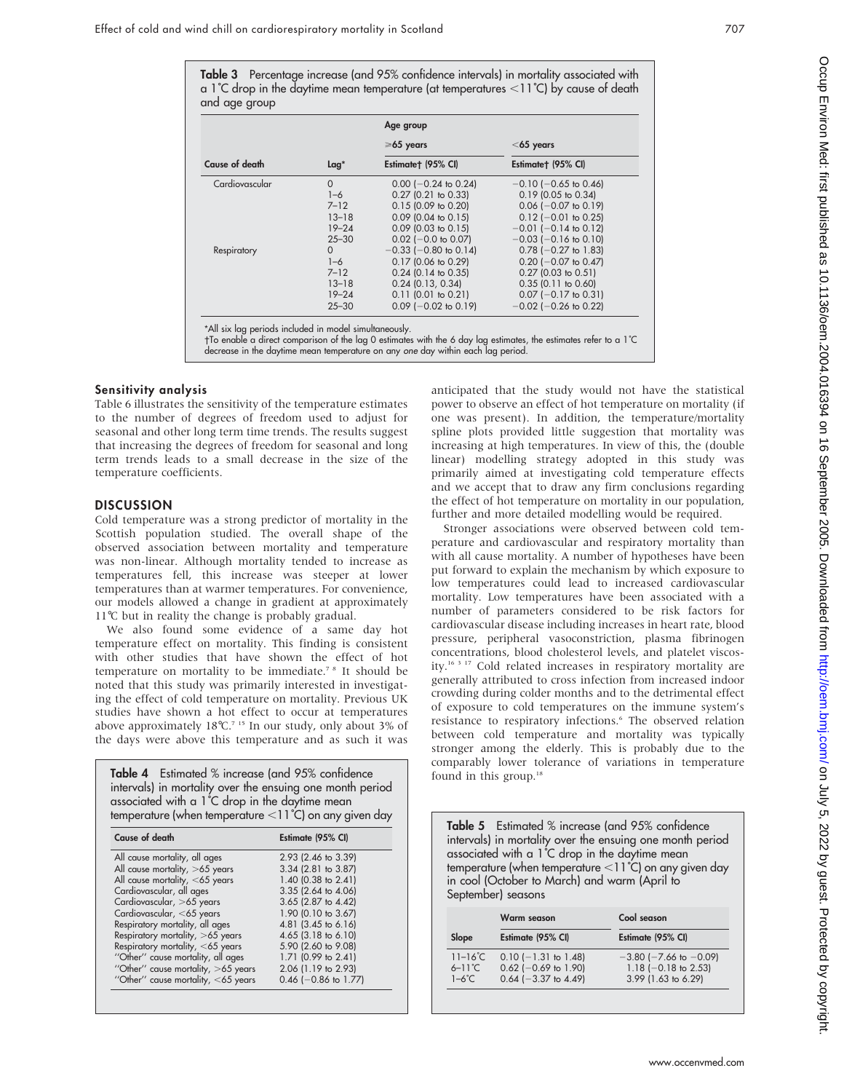Table 3 Percentage increase (and 95% confidence intervals) in mortality associated with a 1 $\degree$ C drop in the daytime mean temperature (at temperatures  $\lt 11\degree$ C) by cause of death and age group

|                |                     | Age group                  |                                    |  |  |
|----------------|---------------------|----------------------------|------------------------------------|--|--|
|                |                     | $\geq 65$ years            | $<$ 65 years<br>Estimatet (95% CI) |  |  |
| Cause of death | $L$ ag <sup>*</sup> | Estimatet (95% CI)         |                                    |  |  |
| Cardiovascular | $\Omega$            | $0.00$ (-0.24 to 0.24)     | $-0.10$ ( $-0.65$ to 0.46)         |  |  |
|                | $1 - 6$             | $0.27$ (0.21 to 0.33)      | $0.19$ (0.05 to 0.34)              |  |  |
|                | $7 - 12$            | $0.15$ (0.09 to 0.20)      | $0.06$ (-0.07 to 0.19)             |  |  |
|                | $13 - 18$           | $0.09$ (0.04 to 0.15)      | $0.12$ (-0.01 to 0.25)             |  |  |
|                | $19 - 24$           | $0.09$ (0.03 to 0.15)      | $-0.01$ ( $-0.14$ to 0.12)         |  |  |
|                | $25 - 30$           | $0.02$ (-0.0 to 0.07)      | $-0.03$ ( $-0.16$ to 0.10)         |  |  |
| Respiratory    | $\Omega$            | $-0.33$ ( $-0.80$ to 0.14) | $0.78$ (-0.27 to 1.83)             |  |  |
|                | $1 - 6$             | 0.17 (0.06 to 0.29)        | $0.20$ (-0.07 to 0.47)             |  |  |
|                | $7 - 12$            | $0.24$ (0.14 to 0.35)      | $0.27$ (0.03 to 0.51)              |  |  |
|                | $13 - 18$           | $0.24$ (0.13, 0.34)        | $0.35$ (0.11 to 0.60)              |  |  |
|                | $19 - 24$           | $0.11$ (0.01 to 0.21)      | $0.07$ (-0.17 to 0.31)             |  |  |
|                | $25 - 30$           | $0.09$ (-0.02 to 0.19)     | $-0.02$ ( $-0.26$ to 0.22)         |  |  |

\*All six lag periods included in model simultaneously. To enable a direct comparison of the lag 0 estimates with the 6 day lag estimates, the estimates refer to a 1˚C decrease in the daytime mean temperature on any one day within each lag period.

#### Sensitivity analysis

Table 6 illustrates the sensitivity of the temperature estimates to the number of degrees of freedom used to adjust for seasonal and other long term time trends. The results suggest that increasing the degrees of freedom for seasonal and long term trends leads to a small decrease in the size of the temperature coefficients.

#### **DISCUSSION**

Cold temperature was a strong predictor of mortality in the Scottish population studied. The overall shape of the observed association between mortality and temperature was non-linear. Although mortality tended to increase as temperatures fell, this increase was steeper at lower temperatures than at warmer temperatures. For convenience, our models allowed a change in gradient at approximately 11℃ but in reality the change is probably gradual.

We also found some evidence of a same day hot temperature effect on mortality. This finding is consistent with other studies that have shown the effect of hot temperature on mortality to be immediate.<sup>7</sup> <sup>8</sup> It should be noted that this study was primarily interested in investigating the effect of cold temperature on mortality. Previous UK studies have shown a hot effect to occur at temperatures above approximately  $18^{\circ}$ C.<sup>7 15</sup> In our study, only about 3% of the days were above this temperature and as such it was

| Table 4 Estimated % increase (and 95% confidence                   |
|--------------------------------------------------------------------|
| intervals) in mortality over the ensuing one month period          |
| associated with a 1°C drop in the daytime mean                     |
| temperature (when temperature $\lt 11^{\circ}$ C) on any given day |

| Cause of death                        | Estimate (95% CI)              |
|---------------------------------------|--------------------------------|
| All cause mortality, all ages         | 2.93 (2.46 to 3.39)            |
| All cause mortality, $>65$ years      | 3.34 (2.81 to 3.87)            |
| All cause mortality, $<$ 65 years     | 1.40 $(0.38 \text{ to } 2.41)$ |
| Cardiovascular, all ages              | 3.35 (2.64 to 4.06)            |
| Cardiovascular, $>65$ years           | 3.65 (2.87 to 4.42)            |
| Cardiovascular, <65 years             | 1.90 (0.10 to 3.67)            |
| Respiratory mortality, all ages       | 4.81 (3.45 to 6.16)            |
| Respiratory mortality, >65 years      | 4.65 (3.18 to 6.10)            |
| Respiratory mortality, <65 years      | 5.90 (2.60 to 9.08)            |
| "Other" cause mortality, all ages     | 1.71 (0.99 to 2.41)            |
| "Other" cause mortality, >65 years    | 2.06 (1.19 to 2.93)            |
| "Other" cause mortality, $<$ 65 years | $0.46$ (-0.86 to 1.77)         |

anticipated that the study would not have the statistical power to observe an effect of hot temperature on mortality (if one was present). In addition, the temperature/mortality spline plots provided little suggestion that mortality was increasing at high temperatures. In view of this, the (double linear) modelling strategy adopted in this study was primarily aimed at investigating cold temperature effects and we accept that to draw any firm conclusions regarding the effect of hot temperature on mortality in our population, further and more detailed modelling would be required.

Stronger associations were observed between cold temperature and cardiovascular and respiratory mortality than with all cause mortality. A number of hypotheses have been put forward to explain the mechanism by which exposure to low temperatures could lead to increased cardiovascular mortality. Low temperatures have been associated with a number of parameters considered to be risk factors for cardiovascular disease including increases in heart rate, blood pressure, peripheral vasoconstriction, plasma fibrinogen concentrations, blood cholesterol levels, and platelet viscosity.16 3 17 Cold related increases in respiratory mortality are generally attributed to cross infection from increased indoor crowding during colder months and to the detrimental effect of exposure to cold temperatures on the immune system's resistance to respiratory infections.<sup>6</sup> The observed relation between cold temperature and mortality was typically stronger among the elderly. This is probably due to the comparably lower tolerance of variations in temperature found in this group. $18$ 

Table 5 Estimated % increase (and 95% confidence intervals) in mortality over the ensuing one month period associated with a 1˚C drop in the daytime mean temperature (when temperature  $<$  11°C) on any given day in cool (October to March) and warm (April to September) seasons

|                                                            | <b>Warm season</b>                                                         | Cool season                                                                              |
|------------------------------------------------------------|----------------------------------------------------------------------------|------------------------------------------------------------------------------------------|
| Slope                                                      | Estimate (95% CI)                                                          | Estimate (95% CI)                                                                        |
| $11 - 16^{\circ}C$<br>$6 - 11^{\circ}C$<br>$1 - 6^\circ C$ | $0.10$ (-1.31 to 1.48)<br>$0.62$ (-0.69 to 1.90)<br>$0.64$ (-3.37 to 4.49) | $-3.80$ ( $-7.66$ to $-0.09$ )<br>1.18 $(-0.18 \text{ to } 2.53)$<br>3.99 (1.63 to 6.29) |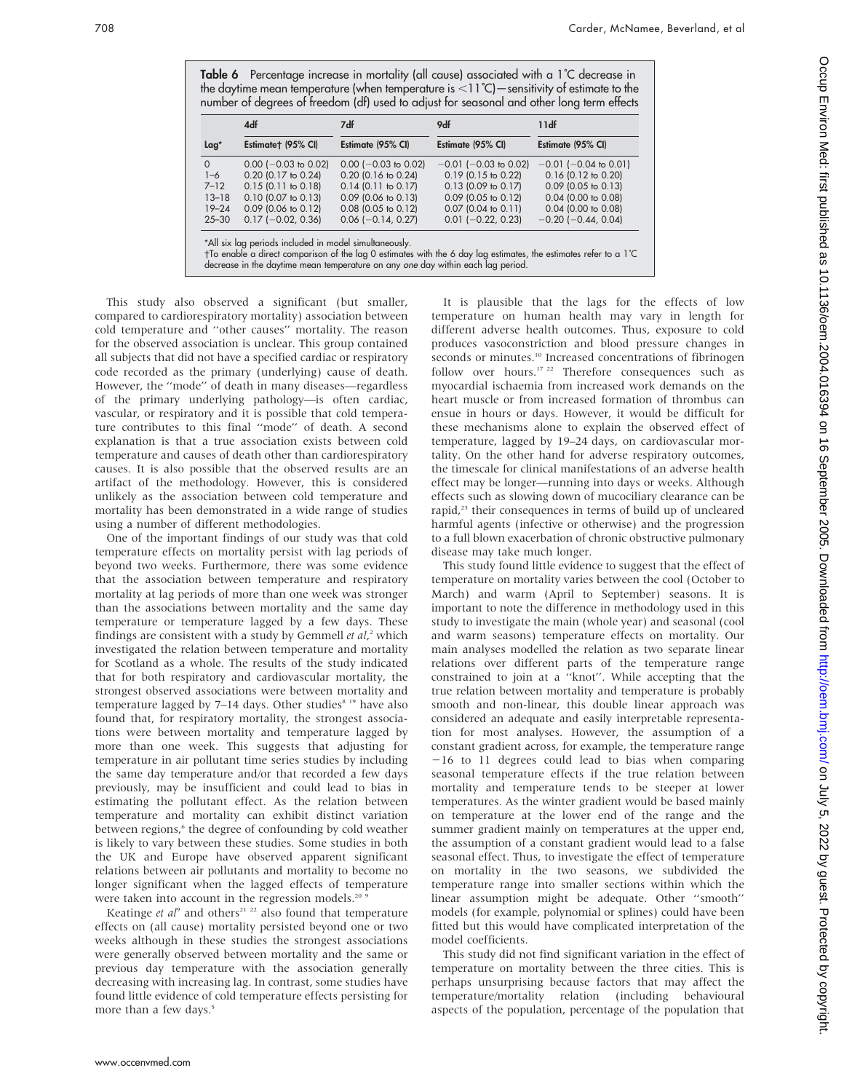Table 6 Percentage increase in mortality (all cause) associated with a 1°C decrease in the daytime mean temperature (when temperature is  $<$ 11°C)—sensitivity of estimate to the number of degrees of freedom (df) used to adjust for seasonal and other long term effects

|                                                                                                                                                                                                                                                               | 4 <sub>df</sub>                                                                                                                                       | 7df                                                                                                                                                       | 9df                                                                                                                                                    | 11df                                                                                                                                                        |  |  |
|---------------------------------------------------------------------------------------------------------------------------------------------------------------------------------------------------------------------------------------------------------------|-------------------------------------------------------------------------------------------------------------------------------------------------------|-----------------------------------------------------------------------------------------------------------------------------------------------------------|--------------------------------------------------------------------------------------------------------------------------------------------------------|-------------------------------------------------------------------------------------------------------------------------------------------------------------|--|--|
| $L$ ag*                                                                                                                                                                                                                                                       | Estimatet (95% CI)                                                                                                                                    | Estimate (95% CI)                                                                                                                                         | Estimate (95% CI)                                                                                                                                      | Estimate (95% CI)                                                                                                                                           |  |  |
| $\Omega$<br>$1 - 6$<br>$7 - 12$<br>$13 - 18$<br>$19 - 24$<br>$25 - 30$                                                                                                                                                                                        | $0.00$ (-0.03 to 0.02)<br>$0.20$ (0.17 to $0.24$ )<br>$0.15$ (0.11 to 0.18)<br>$0.10$ (0.07 to 0.13)<br>$0.09$ (0.06 to 0.12)<br>$0.17$ (-0.02, 0.36) | $0.00$ (-0.03 to 0.02)<br>$0.20$ (0.16 to 0.24)<br>$0.14$ (0.11 to 0.17)<br>$0.09$ (0.06 to 0.13)<br>$0.08$ (0.05 to 0.12)<br>$0.06$ ( $-0.14$ , $0.27$ ) | $-0.01$ ( $-0.03$ to 0.02)<br>$0.19$ (0.15 to 0.22)<br>$0.13$ (0.09 to 0.17)<br>$0.09$ (0.05 to 0.12)<br>$0.07$ (0.04 to 0.11)<br>$0.01$ (-0.22, 0.23) | $-0.01$ ( $-0.04$ to 0.01)<br>$0.16$ (0.12 to 0.20)<br>$0.09$ (0.05 to 0.13)<br>$0.04$ (0.00 to 0.08)<br>$0.04$ (0.00 to 0.08)<br>$-0.20$ ( $-0.44$ , 0.04) |  |  |
| *All six lag periods included in model simultaneously.<br>†To enable a direct comparison of the lag 0 estimates with the 6 day lag estimates, the estimates refer to a 1°C<br>decrease in the daytime mean temperature on any one day within each lag period. |                                                                                                                                                       |                                                                                                                                                           |                                                                                                                                                        |                                                                                                                                                             |  |  |

This study also observed a significant (but smaller, compared to cardiorespiratory mortality) association between cold temperature and ''other causes'' mortality. The reason for the observed association is unclear. This group contained all subjects that did not have a specified cardiac or respiratory code recorded as the primary (underlying) cause of death. However, the ''mode'' of death in many diseases—regardless of the primary underlying pathology—is often cardiac, vascular, or respiratory and it is possible that cold temperature contributes to this final ''mode'' of death. A second explanation is that a true association exists between cold temperature and causes of death other than cardiorespiratory causes. It is also possible that the observed results are an artifact of the methodology. However, this is considered unlikely as the association between cold temperature and mortality has been demonstrated in a wide range of studies using a number of different methodologies.

One of the important findings of our study was that cold temperature effects on mortality persist with lag periods of beyond two weeks. Furthermore, there was some evidence that the association between temperature and respiratory mortality at lag periods of more than one week was stronger than the associations between mortality and the same day temperature or temperature lagged by a few days. These findings are consistent with a study by Gemmell et al,<sup>2</sup> which investigated the relation between temperature and mortality for Scotland as a whole. The results of the study indicated that for both respiratory and cardiovascular mortality, the strongest observed associations were between mortality and temperature lagged by 7-14 days. Other studies<sup>8 19</sup> have also found that, for respiratory mortality, the strongest associations were between mortality and temperature lagged by more than one week. This suggests that adjusting for temperature in air pollutant time series studies by including the same day temperature and/or that recorded a few days previously, may be insufficient and could lead to bias in estimating the pollutant effect. As the relation between temperature and mortality can exhibit distinct variation between regions,<sup>6</sup> the degree of confounding by cold weather is likely to vary between these studies. Some studies in both the UK and Europe have observed apparent significant relations between air pollutants and mortality to become no longer significant when the lagged effects of temperature were taken into account in the regression models.<sup>20</sup>

Keatinge et  $al^9$  and others<sup>21 22</sup> also found that temperature effects on (all cause) mortality persisted beyond one or two weeks although in these studies the strongest associations were generally observed between mortality and the same or previous day temperature with the association generally decreasing with increasing lag. In contrast, some studies have found little evidence of cold temperature effects persisting for more than a few days.<sup>5</sup>

It is plausible that the lags for the effects of low temperature on human health may vary in length for different adverse health outcomes. Thus, exposure to cold produces vasoconstriction and blood pressure changes in seconds or minutes.<sup>10</sup> Increased concentrations of fibrinogen follow over hours.<sup>17 22</sup> Therefore consequences such as myocardial ischaemia from increased work demands on the heart muscle or from increased formation of thrombus can ensue in hours or days. However, it would be difficult for these mechanisms alone to explain the observed effect of temperature, lagged by 19–24 days, on cardiovascular mortality. On the other hand for adverse respiratory outcomes, the timescale for clinical manifestations of an adverse health effect may be longer—running into days or weeks. Although effects such as slowing down of mucociliary clearance can be rapid,<sup>23</sup> their consequences in terms of build up of uncleared harmful agents (infective or otherwise) and the progression to a full blown exacerbation of chronic obstructive pulmonary disease may take much longer.

This study found little evidence to suggest that the effect of temperature on mortality varies between the cool (October to March) and warm (April to September) seasons. It is important to note the difference in methodology used in this study to investigate the main (whole year) and seasonal (cool and warm seasons) temperature effects on mortality. Our main analyses modelled the relation as two separate linear relations over different parts of the temperature range constrained to join at a ''knot''. While accepting that the true relation between mortality and temperature is probably smooth and non-linear, this double linear approach was considered an adequate and easily interpretable representation for most analyses. However, the assumption of a constant gradient across, for example, the temperature range  $-16$  to 11 degrees could lead to bias when comparing seasonal temperature effects if the true relation between mortality and temperature tends to be steeper at lower temperatures. As the winter gradient would be based mainly on temperature at the lower end of the range and the summer gradient mainly on temperatures at the upper end, the assumption of a constant gradient would lead to a false seasonal effect. Thus, to investigate the effect of temperature on mortality in the two seasons, we subdivided the temperature range into smaller sections within which the linear assumption might be adequate. Other ''smooth'' models (for example, polynomial or splines) could have been fitted but this would have complicated interpretation of the model coefficients.

This study did not find significant variation in the effect of temperature on mortality between the three cities. This is perhaps unsurprising because factors that may affect the temperature/mortality relation (including behavioural aspects of the population, percentage of the population that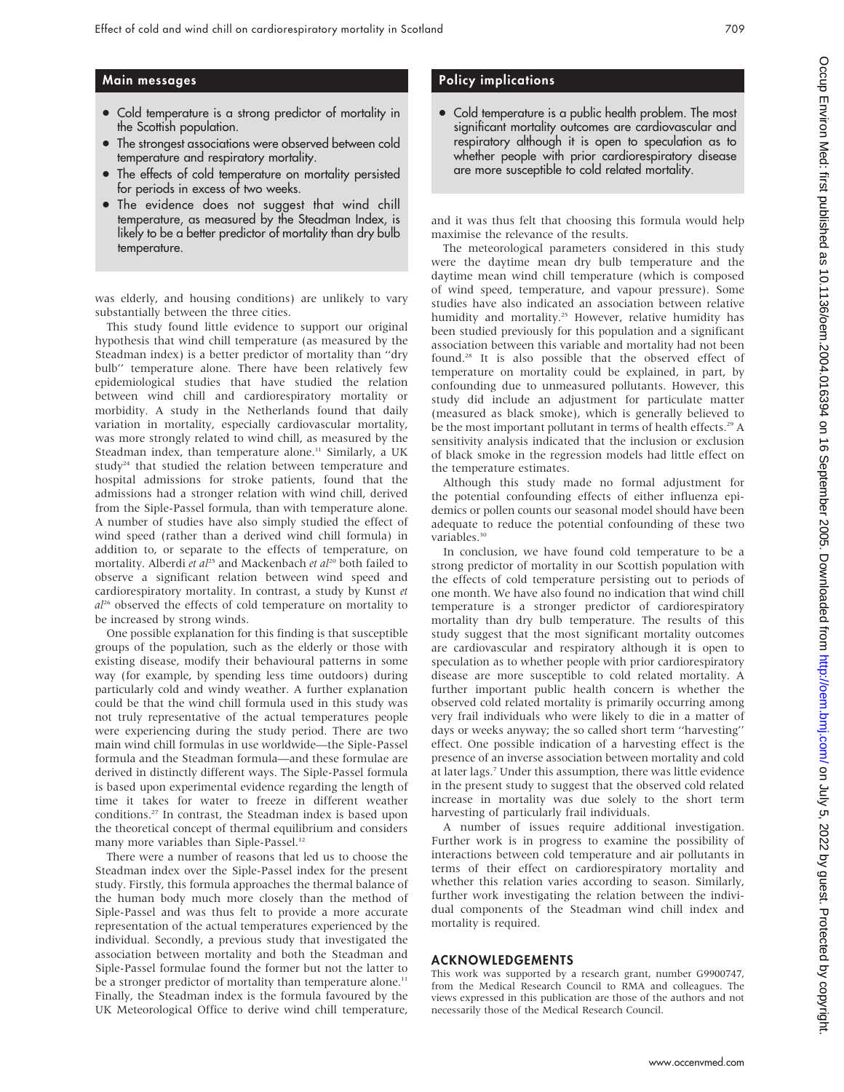## Main messages

- Cold temperature is a strong predictor of mortality in the Scottish population.
- The strongest associations were observed between cold temperature and respiratory mortality.
- The effects of cold temperature on mortality persisted for periods in excess of two weeks.
- The evidence does not suggest that wind chill temperature, as measured by the Steadman Index, is likely to be a better predictor of mortality than dry bulb temperature.

was elderly, and housing conditions) are unlikely to vary substantially between the three cities.

This study found little evidence to support our original hypothesis that wind chill temperature (as measured by the Steadman index) is a better predictor of mortality than ''dry bulb'' temperature alone. There have been relatively few epidemiological studies that have studied the relation between wind chill and cardiorespiratory mortality or morbidity. A study in the Netherlands found that daily variation in mortality, especially cardiovascular mortality, was more strongly related to wind chill, as measured by the Steadman index, than temperature alone.<sup>11</sup> Similarly, a UK study<sup>24</sup> that studied the relation between temperature and hospital admissions for stroke patients, found that the admissions had a stronger relation with wind chill, derived from the Siple-Passel formula, than with temperature alone. A number of studies have also simply studied the effect of wind speed (rather than a derived wind chill formula) in addition to, or separate to the effects of temperature, on mortality. Alberdi et  $a^{25}$  and Mackenbach et  $a^{20}$  both failed to observe a significant relation between wind speed and cardiorespiratory mortality. In contrast, a study by Kunst et  $a^{26}$  observed the effects of cold temperature on mortality to be increased by strong winds.

One possible explanation for this finding is that susceptible groups of the population, such as the elderly or those with existing disease, modify their behavioural patterns in some way (for example, by spending less time outdoors) during particularly cold and windy weather. A further explanation could be that the wind chill formula used in this study was not truly representative of the actual temperatures people were experiencing during the study period. There are two main wind chill formulas in use worldwide—the Siple-Passel formula and the Steadman formula—and these formulae are derived in distinctly different ways. The Siple-Passel formula is based upon experimental evidence regarding the length of time it takes for water to freeze in different weather conditions.27 In contrast, the Steadman index is based upon the theoretical concept of thermal equilibrium and considers many more variables than Siple-Passel.<sup>12</sup>

There were a number of reasons that led us to choose the Steadman index over the Siple-Passel index for the present study. Firstly, this formula approaches the thermal balance of the human body much more closely than the method of Siple-Passel and was thus felt to provide a more accurate representation of the actual temperatures experienced by the individual. Secondly, a previous study that investigated the association between mortality and both the Steadman and Siple-Passel formulae found the former but not the latter to be a stronger predictor of mortality than temperature alone.<sup>11</sup> Finally, the Steadman index is the formula favoured by the UK Meteorological Office to derive wind chill temperature,

# Policy implications

• Cold temperature is a public health problem. The most significant mortality outcomes are cardiovascular and respiratory although it is open to speculation as to whether people with prior cardiorespiratory disease are more susceptible to cold related mortality.

and it was thus felt that choosing this formula would help maximise the relevance of the results.

The meteorological parameters considered in this study were the daytime mean dry bulb temperature and the daytime mean wind chill temperature (which is composed of wind speed, temperature, and vapour pressure). Some studies have also indicated an association between relative humidity and mortality.<sup>25</sup> However, relative humidity has been studied previously for this population and a significant association between this variable and mortality had not been found.28 It is also possible that the observed effect of temperature on mortality could be explained, in part, by confounding due to unmeasured pollutants. However, this study did include an adjustment for particulate matter (measured as black smoke), which is generally believed to be the most important pollutant in terms of health effects.<sup>29</sup> A sensitivity analysis indicated that the inclusion or exclusion of black smoke in the regression models had little effect on the temperature estimates.

Although this study made no formal adjustment for the potential confounding effects of either influenza epidemics or pollen counts our seasonal model should have been adequate to reduce the potential confounding of these two variables.<sup>30</sup>

In conclusion, we have found cold temperature to be a strong predictor of mortality in our Scottish population with the effects of cold temperature persisting out to periods of one month. We have also found no indication that wind chill temperature is a stronger predictor of cardiorespiratory mortality than dry bulb temperature. The results of this study suggest that the most significant mortality outcomes are cardiovascular and respiratory although it is open to speculation as to whether people with prior cardiorespiratory disease are more susceptible to cold related mortality. A further important public health concern is whether the observed cold related mortality is primarily occurring among very frail individuals who were likely to die in a matter of days or weeks anyway; the so called short term ''harvesting'' effect. One possible indication of a harvesting effect is the presence of an inverse association between mortality and cold at later lags.7 Under this assumption, there was little evidence in the present study to suggest that the observed cold related increase in mortality was due solely to the short term harvesting of particularly frail individuals.

A number of issues require additional investigation. Further work is in progress to examine the possibility of interactions between cold temperature and air pollutants in terms of their effect on cardiorespiratory mortality and whether this relation varies according to season. Similarly, further work investigating the relation between the individual components of the Steadman wind chill index and mortality is required.

### ACKNOWLEDGEMENTS

This work was supported by a research grant, number G9900747, from the Medical Research Council to RMA and colleagues. The views expressed in this publication are those of the authors and not necessarily those of the Medical Research Council.